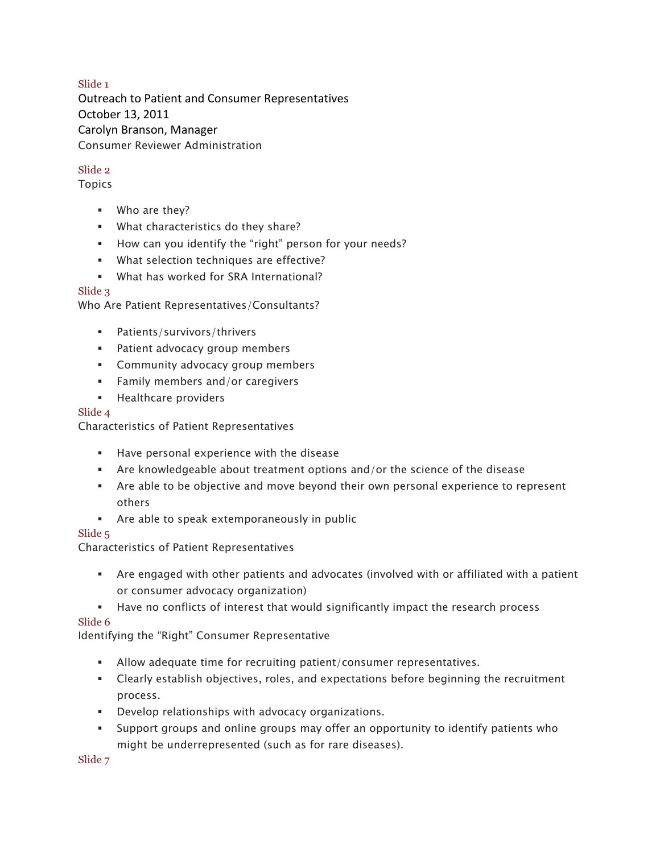### Slide 1

Outreach to Patient and Consumer Representatives October 13, 2011 Carolyn Branson, Manager Consumer Reviewer Administration

### Slide 2

Topics

- § Who are they?
- § What characteristics do they share?
- § How can you identify the "right" person for your needs?
- § What selection techniques are effective?
- § What has worked for SRA International?

### Slide 3

Who Are Patient Representatives/Consultants?

- § Patients/survivors/thrivers
- **•** Patient advocacy group members
- § Community advocacy group members
- Family members and/or caregivers
- **EXECUTE:** Healthcare providers

#### Slide 4

Characteristics of Patient Representatives

- § Have personal experience with the disease
- § Are knowledgeable about treatment options and/or the science of the disease
- Are able to be objective and move beyond their own personal experience to represent others
- Are able to speak extemporaneously in public

#### Slide 5

Characteristics of Patient Representatives

- § Are engaged with other patients and advocates (involved with or affiliated with a patient or consumer advocacy organization)
- § Have no conflicts of interest that would significantly impact the research process

#### Slide 6

Identifying the "Right" Consumer Representative

- § Allow adequate time for recruiting patient/consumer representatives.
- Clearly establish objectives, roles, and expectations before beginning the recruitment process.
- § Develop relationships with advocacy organizations.
- § Support groups and online groups may offer an opportunity to identify patients who might be underrepresented (such as for rare diseases).

Slide 7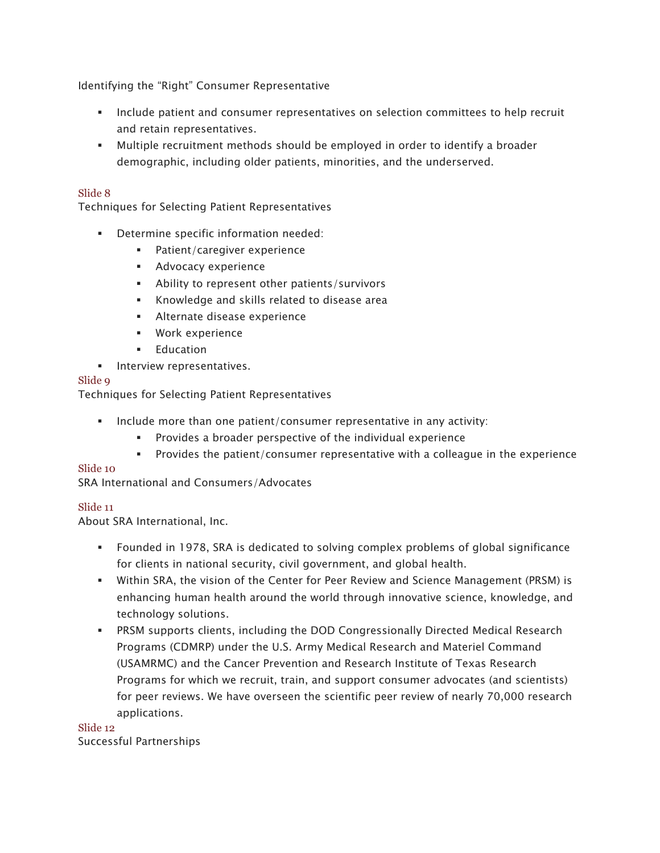Identifying the "Right" Consumer Representative

- Include patient and consumer representatives on selection committees to help recruit and retain representatives.
- § Multiple recruitment methods should be employed in order to identify a broader demographic, including older patients, minorities, and the underserved.

#### Slide 8

Techniques for Selecting Patient Representatives

- Determine specific information needed:
	- Patient/caregiver experience
	- **•** Advocacy experience
	- Ability to represent other patients/survivors
	- § Knowledge and skills related to disease area
	- § Alternate disease experience
	- § Work experience
	- § Education
- **■** Interview representatives.

#### Slide 9

Techniques for Selecting Patient Representatives

- § Include more than one patient/consumer representative in any activity:
	- § Provides a broader perspective of the individual experience
	- § Provides the patient/consumer representative with a colleague in the experience

#### Slide 10

SRA International and Consumers/Advocates

#### Slide 11

About SRA International, Inc.

- § Founded in 1978, SRA is dedicated to solving complex problems of global significance for clients in national security, civil government, and global health.
- § Within SRA, the vision of the Center for Peer Review and Science Management (PRSM) is enhancing human health around the world through innovative science, knowledge, and technology solutions.
- § PRSM supports clients, including the DOD Congressionally Directed Medical Research Programs (CDMRP) under the U.S. Army Medical Research and Materiel Command Programs for which we recruit, train, and support consumer advocates (and scientists) for peer reviews. We have overseen the scientific peer review of nearly 70,000 research (USAMRMC) and the Cancer Prevention and Research Institute of Texas Research applications.

Slide 12 Successful Partnerships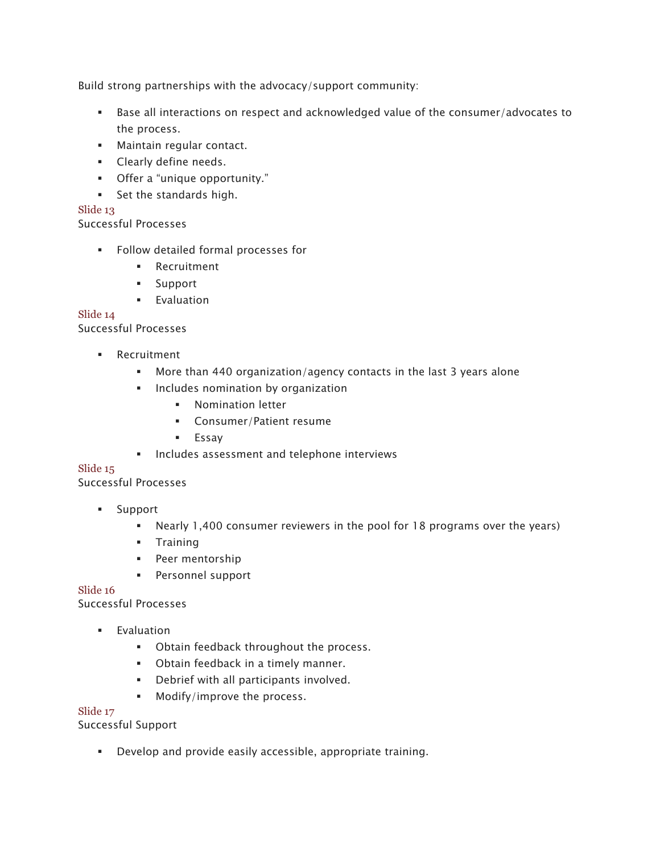Build strong partnerships with the advocacy/support community:

- § Base all interactions on respect and acknowledged value of the consumer/advocates to the process.
- § Maintain regular contact.
- Clearly define needs.
- § Offer a "unique opportunity."
- Set the standards high.

# Slide 13

Successful Processes

- Follow detailed formal processes for
	- § Recruitment
	- § Support
	- **■** Evaluation

## Slide 14

Successful Processes

- § Recruitment
	- § More than 440 organization/agency contacts in the last 3 years alone
	- Includes nomination by organization
		- **•** Nomination letter
		- § Consumer/Patient resume
		- § Essay
	- Includes assessment and telephone interviews

## Slide 15

Successful Processes

- § Support
	- Nearly 1,400 consumer reviewers in the pool for 18 programs over the years)
	- § Training
	- § Peer mentorship
	- § Personnel support

## Slide 16

Successful Processes

- **■** Evaluation
	- § Obtain feedback throughout the process.
	- Obtain feedback in a timely manner.
	- § Debrief with all participants involved.
	- § Modify/improve the process.

## Slide 17

Successful Support

■ Develop and provide easily accessible, appropriate training.